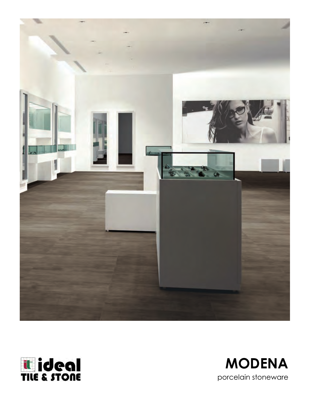



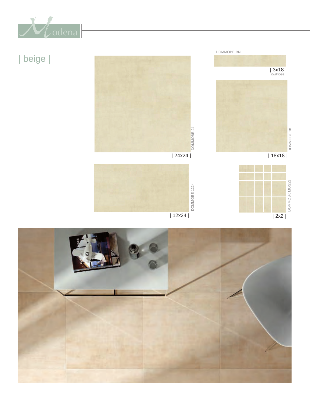

| beige |





DOMMOBE 18

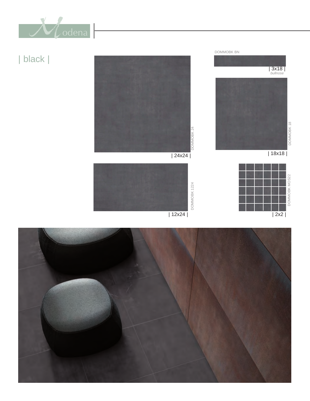

# | black |





 $\sqrt{2 \times 2}$ 

| 12x24 |

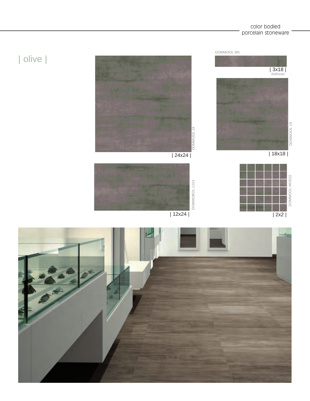#### color bodied porcelain stoneware



| olive |

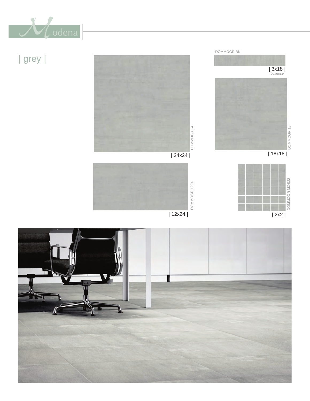

| grey |



| 18x18 |

 $\overline{\left|2 \times 2\right|}$ 

| 3x18 | *bullnose*

DOMMOGR 18

DOMMOGR 18

DOMMOGR MOS22

DOMMOGR MOS22

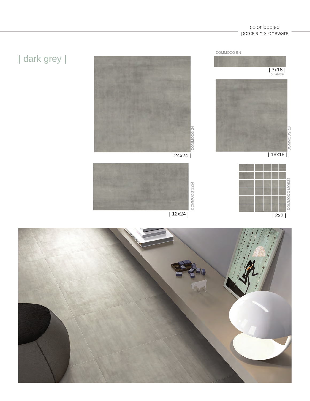# | dark grey |









han

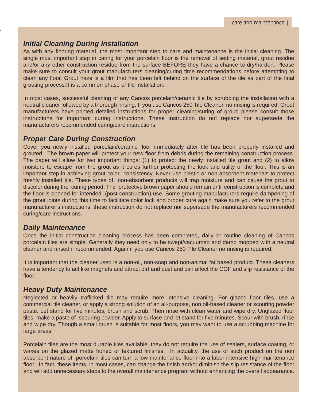## *Initial Cleaning During Installation*

As with any flooring material, the most important step to care and maintenance is the initial cleaning. The single most important step in caring for your porcelain floor is the removal of setting material, grout residue and/or any other construction residue from the surface BEFORE they have a chance to dry/harden. Please make sure to consult your grout manufacturers cleaning/curing time recommendations before attempting to clean any floor. Grout haze is a film that has been left behind on the surface of the tile as part of the final grouting process.It is a common phase of tile installation.

In most cases, successful cleaning of any Cancos porcelain/ceramic tile by scrubbing the installation with a neutral cleaner followed by a thorough rinsing. If you use Cancos 250 Tile Cleaner, no rinsing is required. Grout manufacturers have printed detailed instructions for proper cleaning/curing of grout; please consult those instructions for important curing instructions. These instruction do not replace nor supersede the manufacturers recommended curing/care instructions.

### *Proper Care During Construction*

Cover you newly installed porcelain/ceramic floor immediately after tile has been properly installed and grouted. The brown paper will protect your new floor from debris during the remaining construction process. The paper will allow for two important things: (1) to protect the newly installed tile grout and (2) to allow moisture to escape from the grout as it cures further protecting the look and utility of the floor. This is an important step in achieving grout color consistency. Never use plastic or non-absorbent materials to protect freshly installed tile. These types of non-absorbent products will trap moisture and can cause the grout to discolor during the curing period. The protective brown paper should remain until construction is complete and the floor is opened for intended (post-construction) use. Some grouting manufacturers require dampening of the grout joints during this time to facilitate color lock and proper cure again make sure you refer to the grout manufacturer's instructions, these instruction do not replace nor supersede the manufacturers recommended curing/care instructions.

### *Daily Maintenance*

Once the initial construction cleaning process has been completed, daily or routine cleaning of Cancos porcelain tiles are simple. Generally they need only to be swept/vacuumed and damp mopped with a neutral cleaner and rinsed if recommended. Again if you use Cancos 250 Tile Cleaner no rinsing is required.

It is important that the cleaner used is a non-oil, non-soap and non-animal fat based product. These cleaners have a tendency to act like magnets and attract dirt and dust and can affect the COF and slip resistance of the floor.

### *Heavy Duty Maintenance*

Neglected or heavily trafficked tile may require more intensive cleaning. For glazed floor tiles, use a commercial tile cleaner, or apply a strong solution of an all-purpose, non oil-based cleaner or scouring powder paste. Let stand for five minutes, brush and scrub. Then rinse with clean water and wipe dry. Unglazed floor tiles, make a paste of scouring powder. Apply to surface and let stand for five minutes. Scour with brush, rinse and wipe dry. Though a small brush is suitable for most floors, you may want to use a scrubbing machine for large areas.

Porcelain tiles are the most durable tiles available, they do not require the use of sealers, surface coating, or waxes on the glazed matte honed or textured finishes. In actuality, the use of such product on the non absorbent nature of porcelain tiles can turn a low maintenance floor into a labor intensive high maintenance floor. In fact, these items, in most cases, can change the finish and/or diminish the slip resistance of the floor and will add unnecessary steps to the overall maintenance program without enhancing the overall appearance.